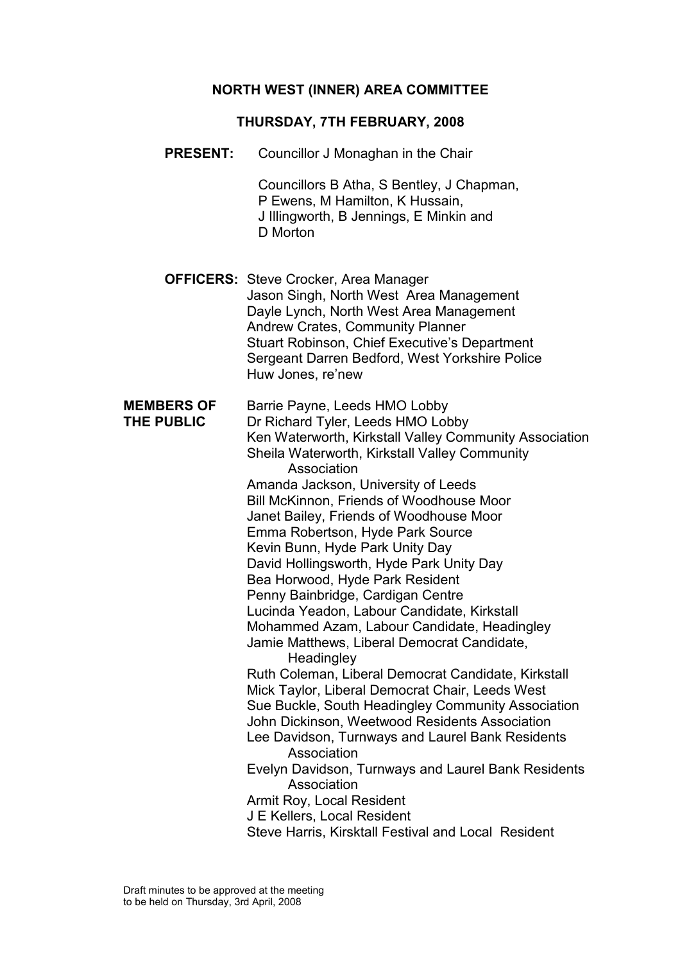### NORTH WEST (INNER) AREA COMMITTEE

#### THURSDAY, 7TH FEBRUARY, 2008

PRESENT: Councillor J Monaghan in the Chair

 Councillors B Atha, S Bentley, J Chapman, P Ewens, M Hamilton, K Hussain, J Illingworth, B Jennings, E Minkin and D Morton

**OFFICERS:** Steve Crocker, Area Manager Jason Singh, North West Area Management Dayle Lynch, North West Area Management Andrew Crates, Community Planner Stuart Robinson, Chief Executive's Department Sergeant Darren Bedford, West Yorkshire Police Huw Jones, re'new

MEMBERS OF Barrie Payne, Leeds HMO Lobby THE PUBLIC Dr Richard Tyler, Leeds HMO Lobby Ken Waterworth, Kirkstall Valley Community Association Sheila Waterworth, Kirkstall Valley Community Association Amanda Jackson, University of Leeds Bill McKinnon, Friends of Woodhouse Moor Janet Bailey, Friends of Woodhouse Moor Emma Robertson, Hyde Park Source Kevin Bunn, Hyde Park Unity Day David Hollingsworth, Hyde Park Unity Day Bea Horwood, Hyde Park Resident Penny Bainbridge, Cardigan Centre Lucinda Yeadon, Labour Candidate, Kirkstall Mohammed Azam, Labour Candidate, Headingley Jamie Matthews, Liberal Democrat Candidate, **Headingley**  Ruth Coleman, Liberal Democrat Candidate, Kirkstall Mick Taylor, Liberal Democrat Chair, Leeds West Sue Buckle, South Headingley Community Association John Dickinson, Weetwood Residents Association Lee Davidson, Turnways and Laurel Bank Residents Association Evelyn Davidson, Turnways and Laurel Bank Residents Association Armit Roy, Local Resident J E Kellers, Local Resident Steve Harris, Kirsktall Festival and Local Resident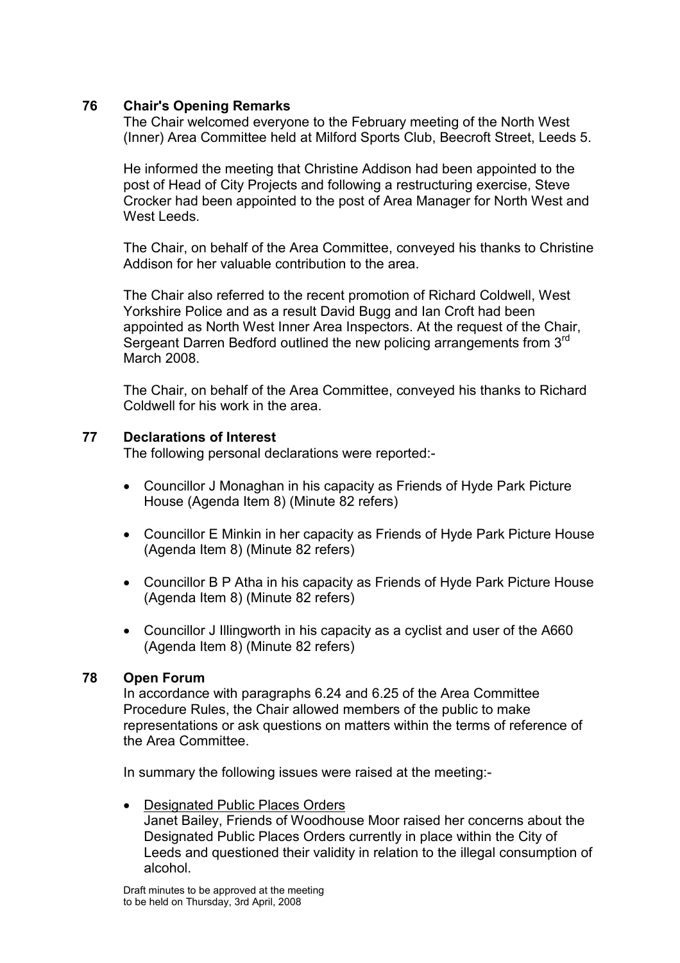## 76 Chair's Opening Remarks

The Chair welcomed everyone to the February meeting of the North West (Inner) Area Committee held at Milford Sports Club, Beecroft Street, Leeds 5.

He informed the meeting that Christine Addison had been appointed to the post of Head of City Projects and following a restructuring exercise, Steve Crocker had been appointed to the post of Area Manager for North West and West Leeds.

The Chair, on behalf of the Area Committee, conveyed his thanks to Christine Addison for her valuable contribution to the area.

The Chair also referred to the recent promotion of Richard Coldwell, West Yorkshire Police and as a result David Bugg and Ian Croft had been appointed as North West Inner Area Inspectors. At the request of the Chair, Sergeant Darren Bedford outlined the new policing arrangements from 3rd March 2008.

The Chair, on behalf of the Area Committee, conveyed his thanks to Richard Coldwell for his work in the area.

### 77 Declarations of Interest

The following personal declarations were reported:-

- Councillor J Monaghan in his capacity as Friends of Hyde Park Picture House (Agenda Item 8) (Minute 82 refers)
- Councillor E Minkin in her capacity as Friends of Hyde Park Picture House (Agenda Item 8) (Minute 82 refers)
- Councillor B P Atha in his capacity as Friends of Hyde Park Picture House (Agenda Item 8) (Minute 82 refers)
- Councillor J Illingworth in his capacity as a cyclist and user of the A660 (Agenda Item 8) (Minute 82 refers)

### 78 Open Forum

In accordance with paragraphs 6.24 and 6.25 of the Area Committee Procedure Rules, the Chair allowed members of the public to make representations or ask questions on matters within the terms of reference of the Area Committee.

In summary the following issues were raised at the meeting:-

• Designated Public Places Orders Janet Bailey, Friends of Woodhouse Moor raised her concerns about the Designated Public Places Orders currently in place within the City of Leeds and questioned their validity in relation to the illegal consumption of alcohol.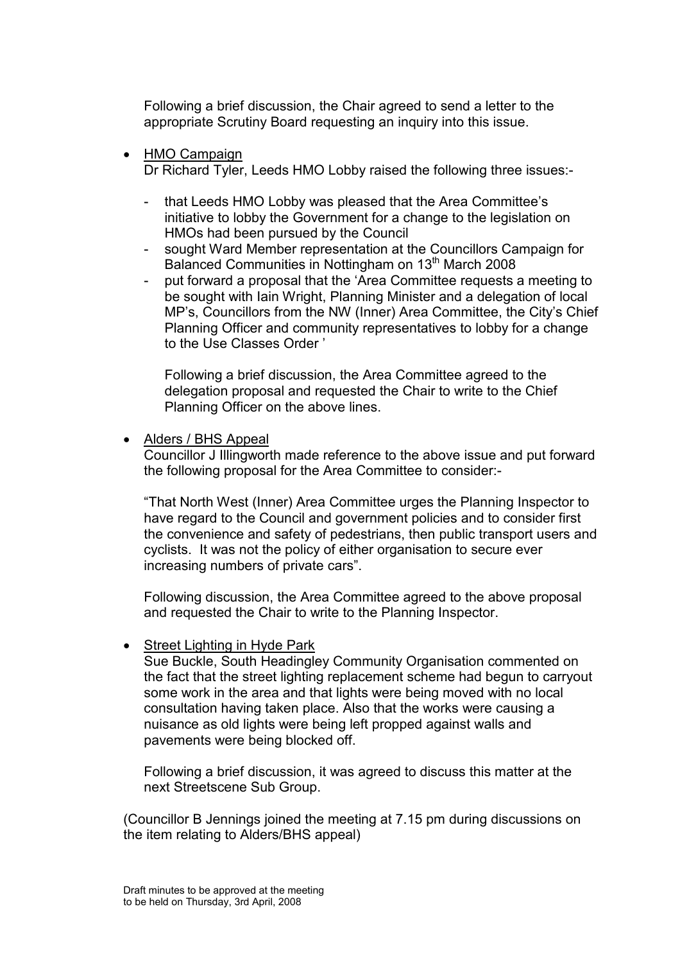Following a brief discussion, the Chair agreed to send a letter to the appropriate Scrutiny Board requesting an inquiry into this issue.

• HMO Campaign

Dr Richard Tyler, Leeds HMO Lobby raised the following three issues:-

- that Leeds HMO Lobby was pleased that the Area Committee's initiative to lobby the Government for a change to the legislation on HMOs had been pursued by the Council
- sought Ward Member representation at the Councillors Campaign for Balanced Communities in Nottingham on 13<sup>th</sup> March 2008
- put forward a proposal that the 'Area Committee requests a meeting to be sought with Iain Wright, Planning Minister and a delegation of local MP's, Councillors from the NW (Inner) Area Committee, the City's Chief Planning Officer and community representatives to lobby for a change to the Use Classes Order '

Following a brief discussion, the Area Committee agreed to the delegation proposal and requested the Chair to write to the Chief Planning Officer on the above lines.

• Alders / BHS Appeal

Councillor J Illingworth made reference to the above issue and put forward the following proposal for the Area Committee to consider:-

"That North West (Inner) Area Committee urges the Planning Inspector to have regard to the Council and government policies and to consider first the convenience and safety of pedestrians, then public transport users and cyclists. It was not the policy of either organisation to secure ever increasing numbers of private cars".

Following discussion, the Area Committee agreed to the above proposal and requested the Chair to write to the Planning Inspector.

Street Lighting in Hyde Park

Sue Buckle, South Headingley Community Organisation commented on the fact that the street lighting replacement scheme had begun to carryout some work in the area and that lights were being moved with no local consultation having taken place. Also that the works were causing a nuisance as old lights were being left propped against walls and pavements were being blocked off.

Following a brief discussion, it was agreed to discuss this matter at the next Streetscene Sub Group.

(Councillor B Jennings joined the meeting at 7.15 pm during discussions on the item relating to Alders/BHS appeal)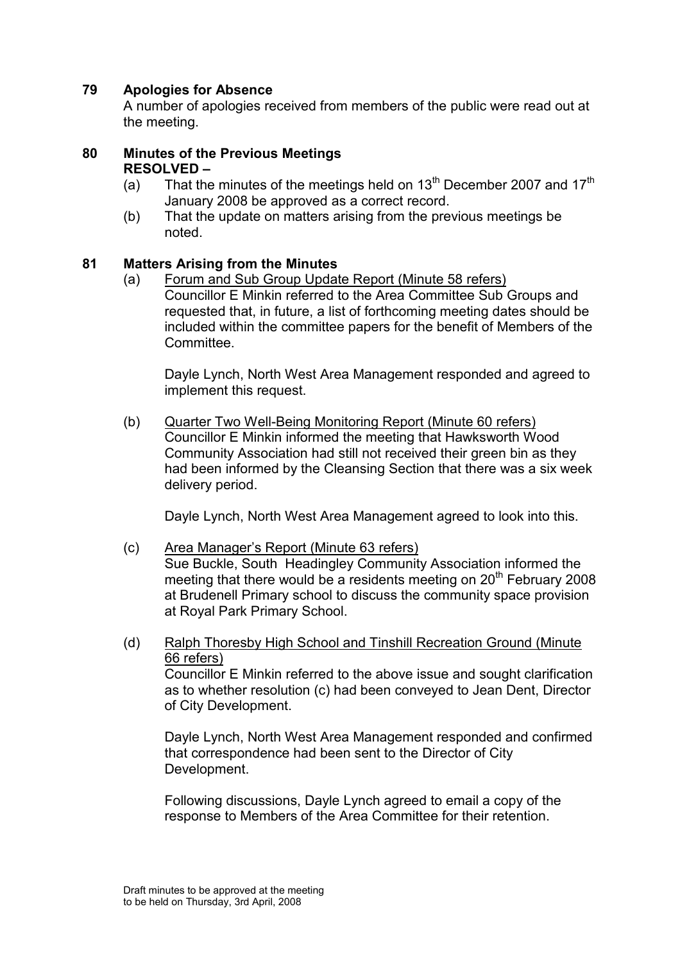# 79 Apologies for Absence

A number of apologies received from members of the public were read out at the meeting.

#### 80 Minutes of the Previous Meetings RESOLVED –

- (a) That the minutes of the meetings held on 13<sup>th</sup> December 2007 and 17<sup>th</sup> January 2008 be approved as a correct record.
- (b) That the update on matters arising from the previous meetings be noted.

### 81 Matters Arising from the Minutes

(a) Forum and Sub Group Update Report (Minute 58 refers) Councillor E Minkin referred to the Area Committee Sub Groups and requested that, in future, a list of forthcoming meeting dates should be included within the committee papers for the benefit of Members of the Committee.

 Dayle Lynch, North West Area Management responded and agreed to implement this request.

(b) Quarter Two Well-Being Monitoring Report (Minute 60 refers) Councillor E Minkin informed the meeting that Hawksworth Wood Community Association had still not received their green bin as they had been informed by the Cleansing Section that there was a six week delivery period.

Dayle Lynch, North West Area Management agreed to look into this.

#### (c) Area Manager's Report (Minute 63 refers)

 Sue Buckle, South Headingley Community Association informed the meeting that there would be a residents meeting on  $20<sup>th</sup>$  February 2008 at Brudenell Primary school to discuss the community space provision at Royal Park Primary School.

(d) Ralph Thoresby High School and Tinshill Recreation Ground (Minute 66 refers)

 Councillor E Minkin referred to the above issue and sought clarification as to whether resolution (c) had been conveyed to Jean Dent, Director of City Development.

 Dayle Lynch, North West Area Management responded and confirmed that correspondence had been sent to the Director of City Development.

 Following discussions, Dayle Lynch agreed to email a copy of the response to Members of the Area Committee for their retention.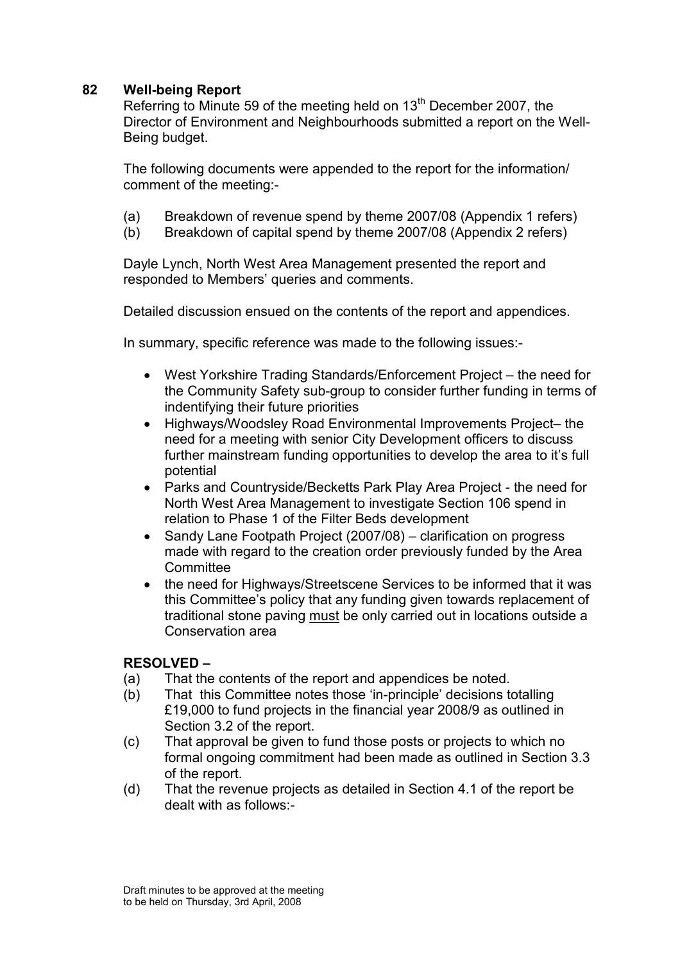# 82 Well-being Report

Referring to Minute 59 of the meeting held on 13<sup>th</sup> December 2007, the Director of Environment and Neighbourhoods submitted a report on the Well-Being budget.

The following documents were appended to the report for the information/ comment of the meeting:-

- (a) Breakdown of revenue spend by theme 2007/08 (Appendix 1 refers)
- (b) Breakdown of capital spend by theme 2007/08 (Appendix 2 refers)

Dayle Lynch, North West Area Management presented the report and responded to Members' queries and comments.

Detailed discussion ensued on the contents of the report and appendices.

In summary, specific reference was made to the following issues:-

- West Yorkshire Trading Standards/Enforcement Project the need for the Community Safety sub-group to consider further funding in terms of indentifying their future priorities
- Highways/Woodsley Road Environmental Improvements Project– the need for a meeting with senior City Development officers to discuss further mainstream funding opportunities to develop the area to it's full potential
- Parks and Countryside/Becketts Park Play Area Project the need for North West Area Management to investigate Section 106 spend in relation to Phase 1 of the Filter Beds development
- Sandy Lane Footpath Project (2007/08) clarification on progress made with regard to the creation order previously funded by the Area **Committee**
- the need for Highways/Streetscene Services to be informed that it was this Committee's policy that any funding given towards replacement of traditional stone paving must be only carried out in locations outside a Conservation area

### RESOLVED –

- (a) That the contents of the report and appendices be noted.
- (b) That this Committee notes those 'in-principle' decisions totalling £19,000 to fund projects in the financial year 2008/9 as outlined in Section 3.2 of the report.
- (c) That approval be given to fund those posts or projects to which no formal ongoing commitment had been made as outlined in Section 3.3 of the report.
- (d) That the revenue projects as detailed in Section 4.1 of the report be dealt with as follows:-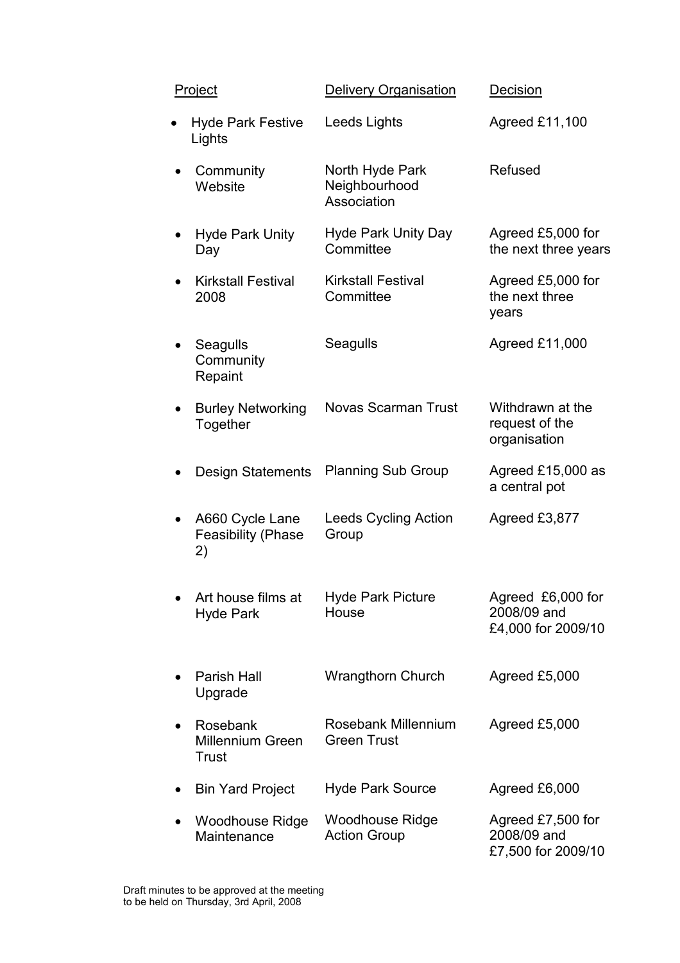| <b>Project</b> |                                                    | <b>Delivery Organisation</b>                    | Decision                                               |
|----------------|----------------------------------------------------|-------------------------------------------------|--------------------------------------------------------|
|                | <b>Hyde Park Festive</b><br>Lights                 | Leeds Lights                                    | Agreed £11,100                                         |
|                | Community<br>Website                               | North Hyde Park<br>Neighbourhood<br>Association | Refused                                                |
|                | <b>Hyde Park Unity</b><br>Day                      | <b>Hyde Park Unity Day</b><br>Committee         | Agreed £5,000 for<br>the next three years              |
|                | <b>Kirkstall Festival</b><br>2008                  | <b>Kirkstall Festival</b><br>Committee          | Agreed £5,000 for<br>the next three<br>years           |
|                | Seagulls<br>Community<br>Repaint                   | Seagulls                                        | Agreed £11,000                                         |
|                | <b>Burley Networking</b><br>Together               | <b>Novas Scarman Trust</b>                      | Withdrawn at the<br>request of the<br>organisation     |
|                | <b>Design Statements</b>                           | <b>Planning Sub Group</b>                       | Agreed £15,000 as<br>a central pot                     |
|                | A660 Cycle Lane<br><b>Feasibility (Phase</b><br>2) | Leeds Cycling Action<br>Group                   | Agreed £3,877                                          |
|                | Art house films at<br><b>Hyde Park</b>             | <b>Hyde Park Picture</b><br>House               | Agreed £6,000 for<br>2008/09 and<br>£4,000 for 2009/10 |
|                | <b>Parish Hall</b><br>Upgrade                      | <b>Wrangthorn Church</b>                        | Agreed £5,000                                          |
|                | Rosebank<br><b>Millennium Green</b><br>Trust       | Rosebank Millennium<br><b>Green Trust</b>       | Agreed £5,000                                          |
|                | <b>Bin Yard Project</b>                            | <b>Hyde Park Source</b>                         | Agreed £6,000                                          |
|                | <b>Woodhouse Ridge</b><br>Maintenance              | <b>Woodhouse Ridge</b><br><b>Action Group</b>   | Agreed £7,500 for<br>2008/09 and<br>£7,500 for 2009/10 |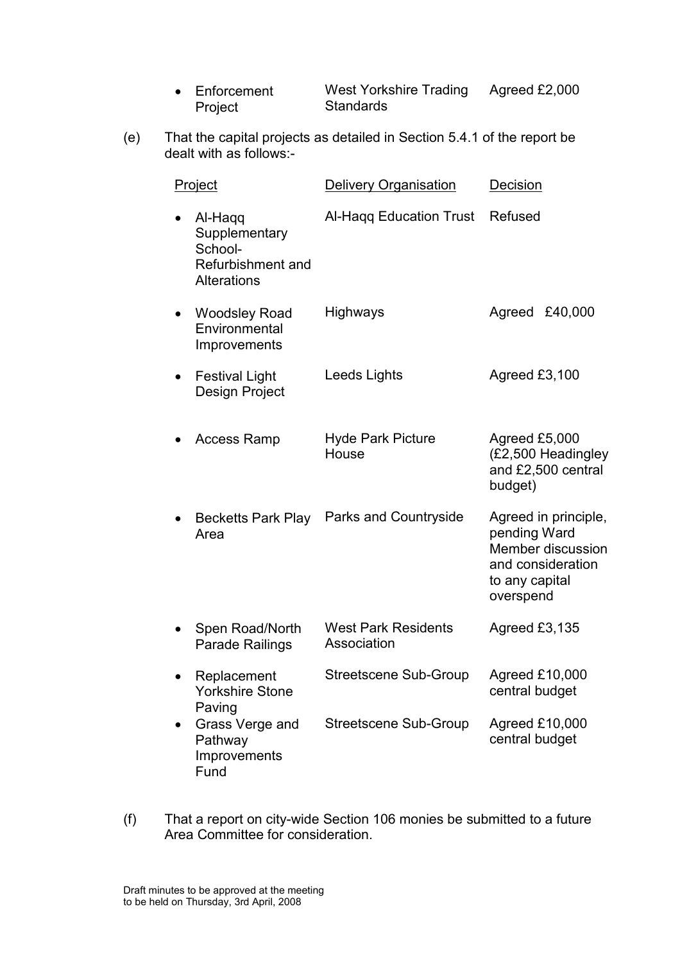| • Enforcement | West Yorkshire Trading | Agreed £2,000 |
|---------------|------------------------|---------------|
| Project       | Standards              |               |

(e) That the capital projects as detailed in Section 5.4.1 of the report be dealt with as follows:-

| Project |                                                                                | <b>Delivery Organisation</b>              | Decision                                                                                                      |
|---------|--------------------------------------------------------------------------------|-------------------------------------------|---------------------------------------------------------------------------------------------------------------|
|         | Al-Haqq<br>Supplementary<br>School-<br>Refurbishment and<br><b>Alterations</b> | Al-Hagg Education Trust                   | Refused                                                                                                       |
|         | <b>Woodsley Road</b><br>Environmental<br>Improvements                          | Highways                                  | £40,000<br>Agreed                                                                                             |
|         | <b>Festival Light</b><br><b>Design Project</b>                                 | Leeds Lights                              | Agreed $£3,100$                                                                                               |
|         | <b>Access Ramp</b>                                                             | <b>Hyde Park Picture</b><br>House         | Agreed £5,000<br>(£2,500 Headingley<br>and £2,500 central<br>budget)                                          |
|         | <b>Becketts Park Play</b><br>Area                                              | Parks and Countryside                     | Agreed in principle,<br>pending Ward<br>Member discussion<br>and consideration<br>to any capital<br>overspend |
|         | Spen Road/North<br><b>Parade Railings</b>                                      | <b>West Park Residents</b><br>Association | Agreed £3,135                                                                                                 |
|         | Replacement<br>Yorkshire Stone<br>Paving                                       | Streetscene Sub-Group                     | Agreed £10,000<br>central budget                                                                              |
|         | Grass Verge and<br>Pathway<br>Improvements<br>Fund                             | <b>Streetscene Sub-Group</b>              | Agreed £10,000<br>central budget                                                                              |

(f) That a report on city-wide Section 106 monies be submitted to a future Area Committee for consideration.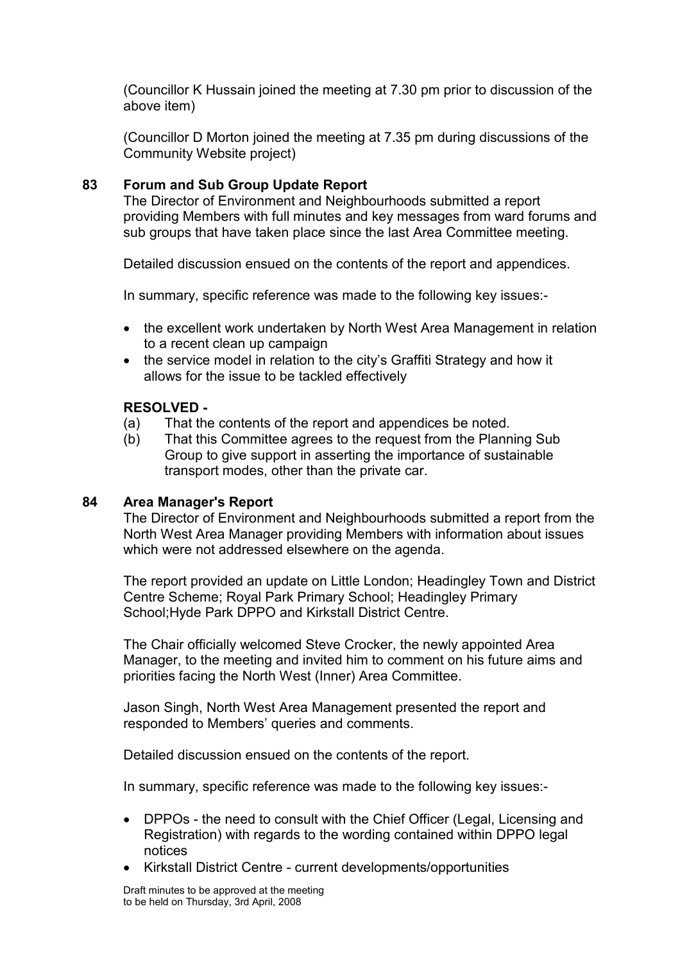(Councillor K Hussain joined the meeting at 7.30 pm prior to discussion of the above item)

(Councillor D Morton joined the meeting at 7.35 pm during discussions of the Community Website project)

### 83 Forum and Sub Group Update Report

The Director of Environment and Neighbourhoods submitted a report providing Members with full minutes and key messages from ward forums and sub groups that have taken place since the last Area Committee meeting.

Detailed discussion ensued on the contents of the report and appendices.

In summary, specific reference was made to the following key issues:-

- the excellent work undertaken by North West Area Management in relation to a recent clean up campaign
- the service model in relation to the city's Graffiti Strategy and how it allows for the issue to be tackled effectively

### RESOLVED -

- (a) That the contents of the report and appendices be noted.
- (b) That this Committee agrees to the request from the Planning Sub Group to give support in asserting the importance of sustainable transport modes, other than the private car.

#### 84 Area Manager's Report

The Director of Environment and Neighbourhoods submitted a report from the North West Area Manager providing Members with information about issues which were not addressed elsewhere on the agenda.

The report provided an update on Little London; Headingley Town and District Centre Scheme; Royal Park Primary School; Headingley Primary School;Hyde Park DPPO and Kirkstall District Centre.

The Chair officially welcomed Steve Crocker, the newly appointed Area Manager, to the meeting and invited him to comment on his future aims and priorities facing the North West (Inner) Area Committee.

Jason Singh, North West Area Management presented the report and responded to Members' queries and comments.

Detailed discussion ensued on the contents of the report.

In summary, specific reference was made to the following key issues:-

- DPPOs the need to consult with the Chief Officer (Legal, Licensing and Registration) with regards to the wording contained within DPPO legal notices
- Kirkstall District Centre current developments/opportunities

Draft minutes to be approved at the meeting to be held on Thursday, 3rd April, 2008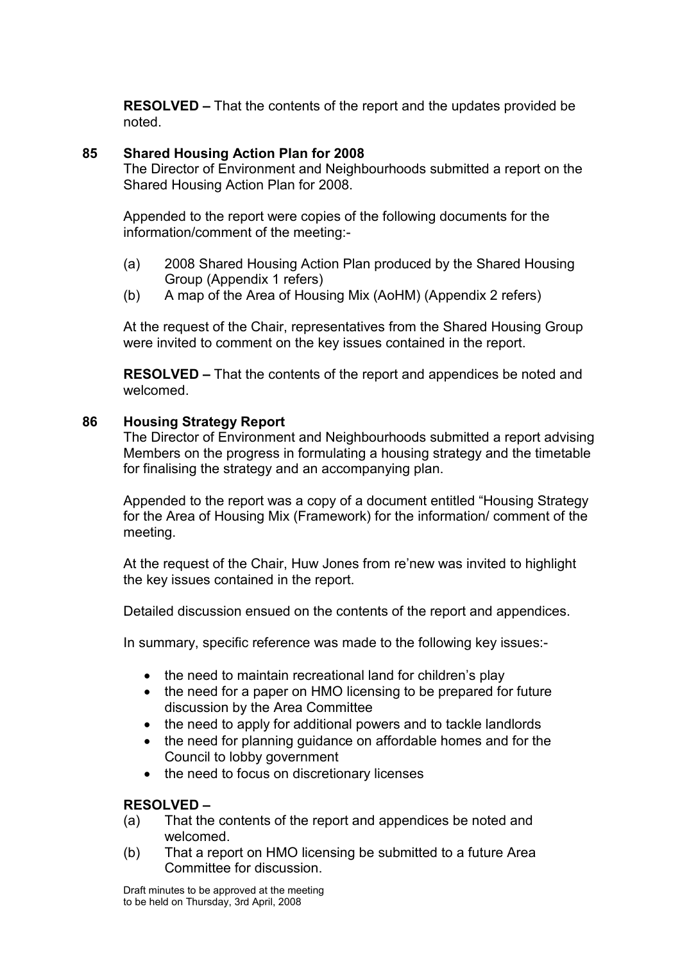RESOLVED – That the contents of the report and the updates provided be noted.

## 85 Shared Housing Action Plan for 2008

The Director of Environment and Neighbourhoods submitted a report on the Shared Housing Action Plan for 2008.

Appended to the report were copies of the following documents for the information/comment of the meeting:-

- (a) 2008 Shared Housing Action Plan produced by the Shared Housing Group (Appendix 1 refers)
- (b) A map of the Area of Housing Mix (AoHM) (Appendix 2 refers)

At the request of the Chair, representatives from the Shared Housing Group were invited to comment on the key issues contained in the report.

RESOLVED – That the contents of the report and appendices be noted and welcomed.

#### 86 Housing Strategy Report

The Director of Environment and Neighbourhoods submitted a report advising Members on the progress in formulating a housing strategy and the timetable for finalising the strategy and an accompanying plan.

Appended to the report was a copy of a document entitled "Housing Strategy for the Area of Housing Mix (Framework) for the information/ comment of the meeting.

At the request of the Chair, Huw Jones from re'new was invited to highlight the key issues contained in the report.

Detailed discussion ensued on the contents of the report and appendices.

In summary, specific reference was made to the following key issues:-

- the need to maintain recreational land for children's play
- the need for a paper on HMO licensing to be prepared for future discussion by the Area Committee
- the need to apply for additional powers and to tackle landlords
- the need for planning guidance on affordable homes and for the Council to lobby government
- the need to focus on discretionary licenses

### RESOLVED –

- (a) That the contents of the report and appendices be noted and welcomed.
- (b) That a report on HMO licensing be submitted to a future Area Committee for discussion.

Draft minutes to be approved at the meeting to be held on Thursday, 3rd April, 2008